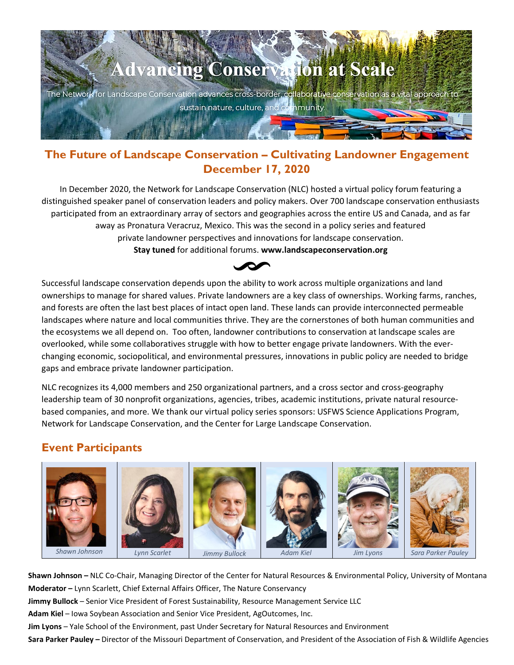

## **The Future of Landscape Conservation – Cultivating Landowner Engagement December 17, 2020**

In December 2020, the Network for Landscape Conservation (NLC) hosted a virtual policy forum featuring a distinguished speaker panel of conservation leaders and policy makers. Over 700 landscape conservation enthusiasts participated from an extraordinary array of sectors and geographies across the entire US and Canada, and as far away as Pronatura Veracruz, Mexico. This was the second in a policy series and featured private landowner perspectives and innovations for landscape conservation. **Stay tuned** for additional forums. **www.landscapeconservation.org**



Successful landscape conservation depends upon the ability to work across multiple organizations and land ownerships to manage for shared values. Private landowners are a key class of ownerships. Working farms, ranches, and forests are often the last best places of intact open land. These lands can provide interconnected permeable landscapes where nature and local communities thrive. They are the cornerstones of both human communities and the ecosystems we all depend on. Too often, landowner contributions to conservation at landscape scales are overlooked, while some collaboratives struggle with how to better engage private landowners. With the everchanging economic, sociopolitical, and environmental pressures, innovations in public policy are needed to bridge gaps and embrace private landowner participation.

NLC recognizes its 4,000 members and 250 organizational partners, and a cross sector and cross-geography leadership team of 30 nonprofit organizations, agencies, tribes, academic institutions, private natural resourcebased companies, and more. We thank our virtual policy series sponsors: USFWS Science Applications Program, Network for Landscape Conservation, and the Center for Large Landscape Conservation.

# **Event Participants**



**Shawn Johnson –** NLC Co-Chair, Managing Director of the Center for Natural Resources & Environmental Policy, University of Montana **Moderator –** Lynn Scarlett, Chief External Affairs Officer, The Nature Conservancy **Jimmy Bullock** – Senior Vice President of Forest Sustainability, Resource Management Service LLC **Adam Kiel** – Iowa Soybean Association and Senior Vice President, AgOutcomes, Inc. **Jim Lyons** – Yale School of the Environment, past Under Secretary for Natural Resources and Environment **Sara Parker Pauley –** Director of the Missouri Department of Conservation, and President of the Association of Fish & Wildlife Agencies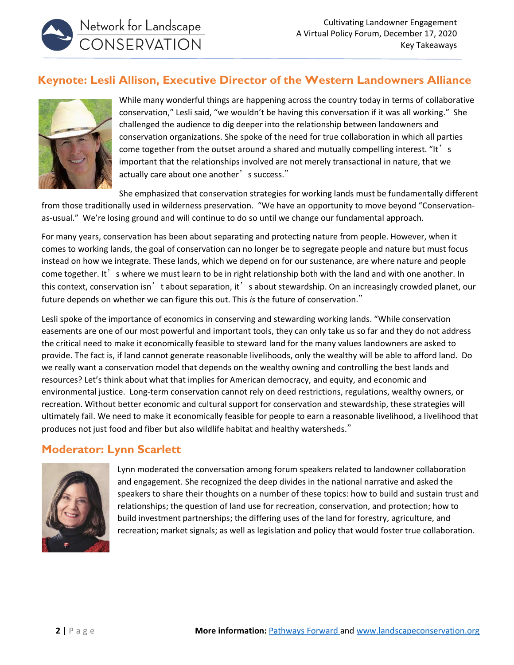## **Keynote: Lesli Allison, Executive Director of the Western Landowners Alliance**



Network for Landscape<br>CONSERVATION

While many wonderful things are happening across the country today in terms of collaborative conservation," Lesli said, "we wouldn't be having this conversation if it was all working." She challenged the audience to dig deeper into the relationship between landowners and conservation organizations. She spoke of the need for true collaboration in which all parties come together from the outset around a shared and mutually compelling interest. "It' s important that the relationships involved are not merely transactional in nature, that we actually care about one another's success."

She emphasized that conservation strategies for working lands must be fundamentally different from those traditionally used in wilderness preservation. "We have an opportunity to move beyond "Conservationas-usual." We're losing ground and will continue to do so until we change our fundamental approach.

For many years, conservation has been about separating and protecting nature from people. However, when it comes to working lands, the goal of conservation can no longer be to segregate people and nature but must focus instead on how we integrate. These lands, which we depend on for our sustenance, are where nature and people come together. It's where we must learn to be in right relationship both with the land and with one another. In this context, conservation isn't about separation, it's about stewardship. On an increasingly crowded planet, our future depends on whether we can figure this out. This *is* the future of conservation."

Lesli spoke of the importance of economics in conserving and stewarding working lands. "While conservation easements are one of our most powerful and important tools, they can only take us so far and they do not address the critical need to make it economically feasible to steward land for the many values landowners are asked to provide. The fact is, if land cannot generate reasonable livelihoods, only the wealthy will be able to afford land. Do we really want a conservation model that depends on the wealthy owning and controlling the best lands and resources? Let's think about what that implies for American democracy, and equity, and economic and environmental justice. Long-term conservation cannot rely on deed restrictions, regulations, wealthy owners, or recreation. Without better economic and cultural support for conservation and stewardship, these strategies will ultimately fail. We need to make it economically feasible for people to earn a reasonable livelihood, a livelihood that produces not just food and fiber but also wildlife habitat and healthy watersheds."

## **Moderator: Lynn Scarlett**



Lynn moderated the conversation among forum speakers related to landowner collaboration and engagement. She recognized the deep divides in the national narrative and asked the speakers to share their thoughts on a number of these topics: how to build and sustain trust and relationships; the question of land use for recreation, conservation, and protection; how to build investment partnerships; the differing uses of the land for forestry, agriculture, and recreation; market signals; as well as legislation and policy that would foster true collaboration.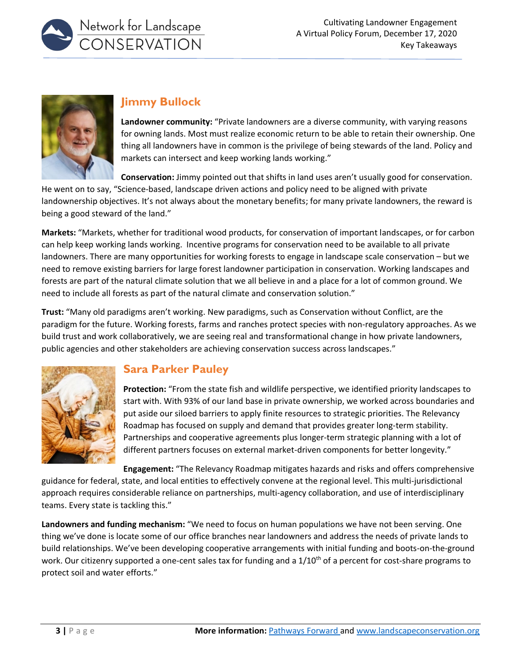



# **Jimmy Bullock**

**Landowner community:** "Private landowners are a diverse community, with varying reasons for owning lands. Most must realize economic return to be able to retain their ownership. One thing all landowners have in common is the privilege of being stewards of the land. Policy and markets can intersect and keep working lands working."

**Conservation:** Jimmy pointed out that shifts in land uses aren't usually good for conservation.

He went on to say, "Science-based, landscape driven actions and policy need to be aligned with private landownership objectives. It's not always about the monetary benefits; for many private landowners, the reward is being a good steward of the land."

**Markets:** "Markets, whether for traditional wood products, for conservation of important landscapes, or for carbon can help keep working lands working. Incentive programs for conservation need to be available to all private landowners. There are many opportunities for working forests to engage in landscape scale conservation – but we need to remove existing barriers for large forest landowner participation in conservation. Working landscapes and forests are part of the natural climate solution that we all believe in and a place for a lot of common ground. We need to include all forests as part of the natural climate and conservation solution."

**Trust:** "Many old paradigms aren't working. New paradigms, such as Conservation without Conflict, are the paradigm for the future. Working forests, farms and ranches protect species with non-regulatory approaches. As we build trust and work collaboratively, we are seeing real and transformational change in how private landowners, public agencies and other stakeholders are achieving conservation success across landscapes."



# **Sara Parker Pauley**

**Protection:** "From the state fish and wildlife perspective, we identified priority landscapes to start with. With 93% of our land base in private ownership, we worked across boundaries and put aside our siloed barriers to apply finite resources to strategic priorities. The Relevancy Roadmap has focused on supply and demand that provides greater long-term stability. Partnerships and cooperative agreements plus longer-term strategic planning with a lot of different partners focuses on external market-driven components for better longevity."

**Engagement:** "The Relevancy Roadmap mitigates hazards and risks and offers comprehensive

guidance for federal, state, and local entities to effectively convene at the regional level. This multi-jurisdictional approach requires considerable reliance on partnerships, multi-agency collaboration, and use of interdisciplinary teams. Every state is tackling this."

**Landowners and funding mechanism:** "We need to focus on human populations we have not been serving. One thing we've done is locate some of our office branches near landowners and address the needs of private lands to build relationships. We've been developing cooperative arrangements with initial funding and boots-on-the-ground work. Our citizenry supported a one-cent sales tax for funding and a  $1/10<sup>th</sup>$  of a percent for cost-share programs to protect soil and water efforts."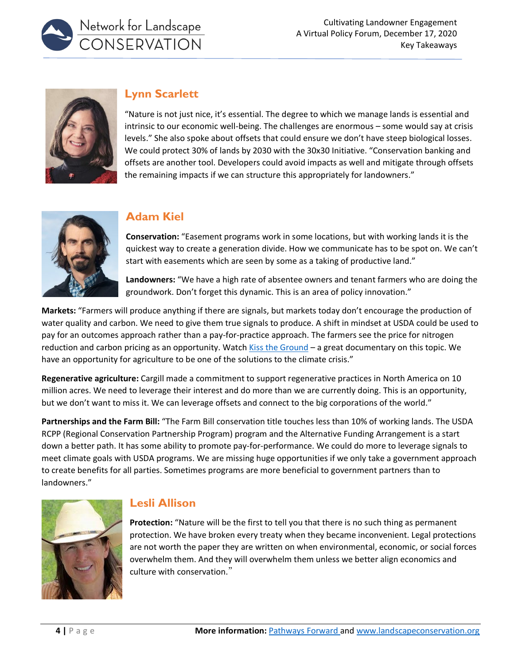



# **Lynn Scarlett**

"Nature is not just nice, it's essential. The degree to which we manage lands is essential and intrinsic to our economic well-being. The challenges are enormous – some would say at crisis levels." She also spoke about offsets that could ensure we don't have steep biological losses. We could protect 30% of lands by 2030 with the 30x30 Initiative. "Conservation banking and offsets are another tool. Developers could avoid impacts as well and mitigate through offsets the remaining impacts if we can structure this appropriately for landowners."



## **Adam Kiel**

**Conservation:** "Easement programs work in some locations, but with working lands it is the quickest way to create a generation divide. How we communicate has to be spot on. We can't start with easements which are seen by some as a taking of productive land."

**Landowners:** "We have a high rate of absentee owners and tenant farmers who are doing the groundwork. Don't forget this dynamic. This is an area of policy innovation."

**Markets:** "Farmers will produce anything if there are signals, but markets today don't encourage the production of water quality and carbon. We need to give them true signals to produce. A shift in mindset at USDA could be used to pay for an outcomes approach rather than a pay-for-practice approach. The farmers see the price for nitrogen reduction and carbon pricing as an opportunity. Watch [Kiss the Ground](https://kisstheground.com/) – a great documentary on this topic. We have an opportunity for agriculture to be one of the solutions to the climate crisis."

**Regenerative agriculture:** Cargill made a commitment to support regenerative practices in North America on 10 million acres. We need to leverage their interest and do more than we are currently doing. This is an opportunity, but we don't want to miss it. We can leverage offsets and connect to the big corporations of the world."

**Partnerships and the Farm Bill:** "The Farm Bill conservation title touches less than 10% of working lands. The USDA RCPP (Regional Conservation Partnership Program) program and the Alternative Funding Arrangement is a start down a better path. It has some ability to promote pay-for-performance. We could do more to leverage signals to meet climate goals with USDA programs. We are missing huge opportunities if we only take a government approach to create benefits for all parties. Sometimes programs are more beneficial to government partners than to landowners."



# **Lesli Allison**

**Protection:** "Nature will be the first to tell you that there is no such thing as permanent protection. We have broken every treaty when they became inconvenient. Legal protections are not worth the paper they are written on when environmental, economic, or social forces overwhelm them. And they will overwhelm them unless we better align economics and culture with conservation."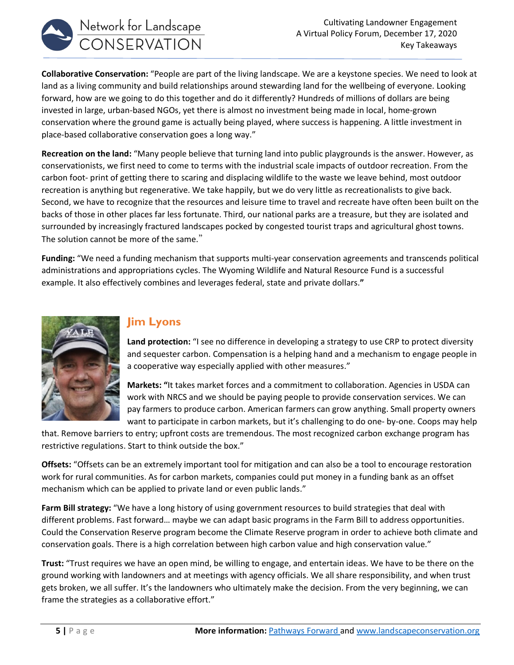

**Collaborative Conservation:** "People are part of the living landscape. We are a keystone species. We need to look at land as a living community and build relationships around stewarding land for the wellbeing of everyone. Looking forward, how are we going to do this together and do it differently? Hundreds of millions of dollars are being invested in large, urban-based NGOs, yet there is almost no investment being made in local, home-grown conservation where the ground game is actually being played, where success is happening. A little investment in place-based collaborative conservation goes a long way."

**Recreation on the land:** "Many people believe that turning land into public playgrounds is the answer. However, as conservationists, we first need to come to terms with the industrial scale impacts of outdoor recreation. From the carbon foot- print of getting there to scaring and displacing wildlife to the waste we leave behind, most outdoor recreation is anything but regenerative. We take happily, but we do very little as recreationalists to give back. Second, we have to recognize that the resources and leisure time to travel and recreate have often been built on the backs of those in other places far less fortunate. Third, our national parks are a treasure, but they are isolated and surrounded by increasingly fractured landscapes pocked by congested tourist traps and agricultural ghost towns. The solution cannot be more of the same."

**Funding:** "We need a funding mechanism that supports multi-year conservation agreements and transcends political administrations and appropriations cycles. The Wyoming Wildlife and Natural Resource Fund is a successful example. It also effectively combines and leverages federal, state and private dollars.**"**



### **Jim Lyons**

**Land protection:** "I see no difference in developing a strategy to use CRP to protect diversity and sequester carbon. Compensation is a helping hand and a mechanism to engage people in a cooperative way especially applied with other measures."

**Markets: "**It takes market forces and a commitment to collaboration. Agencies in USDA can work with NRCS and we should be paying people to provide conservation services. We can pay farmers to produce carbon. American farmers can grow anything. Small property owners want to participate in carbon markets, but it's challenging to do one- by-one. Coops may help

that. Remove barriers to entry; upfront costs are tremendous. The most recognized carbon exchange program has restrictive regulations. Start to think outside the box."

**Offsets:** "Offsets can be an extremely important tool for mitigation and can also be a tool to encourage restoration work for rural communities. As for carbon markets, companies could put money in a funding bank as an offset mechanism which can be applied to private land or even public lands."

**Farm Bill strategy:** "We have a long history of using government resources to build strategies that deal with different problems. Fast forward… maybe we can adapt basic programs in the Farm Bill to address opportunities. Could the Conservation Reserve program become the Climate Reserve program in order to achieve both climate and conservation goals. There is a high correlation between high carbon value and high conservation value."

**Trust:** "Trust requires we have an open mind, be willing to engage, and entertain ideas. We have to be there on the ground working with landowners and at meetings with agency officials. We all share responsibility, and when trust gets broken, we all suffer. It's the landowners who ultimately make the decision. From the very beginning, we can frame the strategies as a collaborative effort."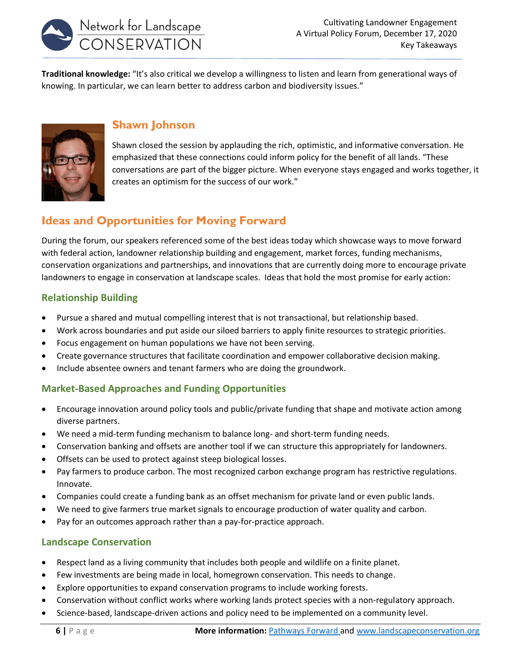

**Traditional knowledge:** "It's also critical we develop a willingness to listen and learn from generational ways of knowing. In particular, we can learn better to address carbon and biodiversity issues."



### **Shawn Johnson**

Shawn closed the session by applauding the rich, optimistic, and informative conversation. He emphasized that these connections could inform policy for the benefit of all lands. "These conversations are part of the bigger picture. When everyone stays engaged and works together, it creates an optimism for the success of our work."

# **Ideas and Opportunities for Moving Forward**

During the forum, our speakers referenced some of the best ideas today which showcase ways to move forward with federal action, landowner relationship building and engagement, market forces, funding mechanisms, conservation organizations and partnerships, and innovations that are currently doing more to encourage private landowners to engage in conservation at landscape scales. Ideas that hold the most promise for early action:

### **Relationship Building**

- Pursue a shared and mutual compelling interest that is not transactional, but relationship based.
- Work across boundaries and put aside our siloed barriers to apply finite resources to strategic priorities.
- Focus engagement on human populations we have not been serving.
- Create governance structures that facilitate coordination and empower collaborative decision making.
- Include absentee owners and tenant farmers who are doing the groundwork.

### **Market-Based Approaches and Funding Opportunities**

- Encourage innovation around policy tools and public/private funding that shape and motivate action among diverse partners.
- We need a mid-term funding mechanism to balance long- and short-term funding needs.
- Conservation banking and offsets are another tool if we can structure this appropriately for landowners.
- Offsets can be used to protect against steep biological losses.
- Pay farmers to produce carbon. The most recognized carbon exchange program has restrictive regulations. Innovate.
- Companies could create a funding bank as an offset mechanism for private land or even public lands.
- We need to give farmers true market signals to encourage production of water quality and carbon.
- Pay for an outcomes approach rather than a pay-for-practice approach.

#### **Landscape Conservation**

- Respect land as a living community that includes both people and wildlife on a finite planet.
- Few investments are being made in local, homegrown conservation. This needs to change.
- Explore opportunities to expand conservation programs to include working forests.
- Conservation without conflict works where working lands protect species with a non-regulatory approach.
- Science-based, landscape-driven actions and policy need to be implemented on a community level.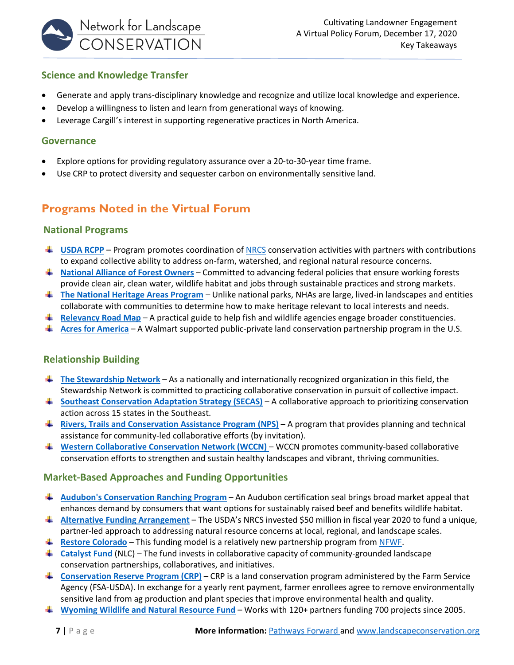

#### **Science and Knowledge Transfer**

- Generate and apply trans-disciplinary knowledge and recognize and utilize local knowledge and experience.
- Develop a willingness to listen and learn from generational ways of knowing.
- Leverage Cargill's interest in supporting regenerative practices in North America.

#### **Governance**

- Explore options for providing regulatory assurance over a 20-to-30-year time frame.
- Use CRP to protect diversity and sequester carbon on environmentally sensitive land.

# **Programs Noted in the Virtual Forum**

#### **National Programs**

- **[USDA RCPP](https://www.nrcs.usda.gov/wps/portal/nrcs/main/national/programs/financial/rcpp/)** Program promotes coordination of [NRCS](https://www.nrcs.usda.gov/wps/portal/nrcs/detailfull/national/plantsanimals/fishwildlife/?cid=nrcseprd1297294) conservation activities with partners with contributions to expand collective ability to address on-farm, watershed, and regional natural resource concerns.
- **National Alliance [of Forest Owners](https://nafoalliance.org/)** Committed to advancing federal policies that ensure working forests provide clean air, clean water, wildlife habitat and jobs through sustainable practices and strong markets.
- **[The National Heritage Areas Program](https://www.nps.gov/subjects/heritageareas/index.htm)** Unlike national parks, NHAs are large, lived-in landscapes and entities collaborate with communities to determine how to make heritage relevant to local interests and needs.
- **[Relevancy Road Map](https://www.fishwildlife.org/afwa-informs/resources/blue-ribbon-panel/relevancy-roadmap)** A practical guide to help fish and wildlife agencies engage broader constituencies.
- **[Acres for America](https://www.nfwf.org/programs/acres-america)** A Walmart supported public-private land conservation partnership program in the U.S.

#### **Relationship Building**

- **[The Stewardship Network](https://www.google.com/url?sa=t&rct=j&q=&esrc=s&source=web&cd=&cad=rja&uact=8&ved=2ahUKEwi8xu2M0PPtAhXOFTQIHXI3AYkQFjAAegQIARAD&url=https%3A%2F%2Fwww.stewardshipnetwork.org%2F&usg=AOvVaw1y0ZXL80tEjV9OmlG9rl3t)** As a nationally and internationally recognized organization in this field, the Stewardship Network is committed to practicing collaborative conservation in pursuit of collective impact.
- **[Southeast Conservation Adaptation Strategy \(SECAS\)](http://secassoutheast.org/)** A collaborative approach to prioritizing conservation action across 15 states in the Southeast.
- **[Rivers, Trails and Conservation Assistance Program](https://www.nps.gov/orgs/rtca/community-projects.htm) (NPS)** A program that provides planning and technical assistance for community-led collaborative efforts (by invitation).
- **[Western Collaborative Conservation Network \(WCCN\)](https://collaborativeconservation.org/program/practice/wccn/)** WCCN promotes community-based collaborative conservation efforts to strengthen and sustain healthy landscapes and vibrant, thriving communities.

#### **Market-Based Approaches and Funding Opportunities**

- **[Audubon's Conservation Ranching Program](https://www.audubon.org/conservation/ranching)** An Audubon certification seal brings broad market appeal that enhances demand by consumers that want options for sustainably raised beef and benefits wildlife habitat.
- **[Alternative Funding Arrangement](https://www.nrcs.usda.gov/wps/portal/nrcs/detail/national/newsroom/releases/?cid=nrcseprd1556838)** The USDA's NRCS invested \$50 million in fiscal year 2020 to fund a unique, partner-led approach to addressing natural resource concerns at local, regional, and landscape scales.
- **[Restore Colorado](https://www.nfwf.org/programs/rocky-mountain-rangelands/restore-colorado-program)** This funding model is a relatively new partnership program from [NFWF.](https://www.nfwf.org/partnerships)
- **↓ [Catalyst Fund](https://landscapeconservation.org/catalyst-fund/)** (NLC) The fund invests in collaborative capacity of community-grounded landscape conservation partnerships, collaboratives, and initiatives.
- **[Conservation Reserve Program \(CRP\)](https://www.fsa.usda.gov/programs-and-services/conservation-programs/conservation-reserve-program/)** CRP is a land conservation program administered by the Farm Service Agency (FSA-USDA). In exchange for a yearly rent payment, farmer enrollees agree to remove environmentally sensitive land from ag production and plant species that improve environmental health and quality.
- **[Wyoming Wildlife and Natural Resource Fund](https://wwnrt.wyo.gov/)** Works with 120+ partners funding 700 projects since 2005.